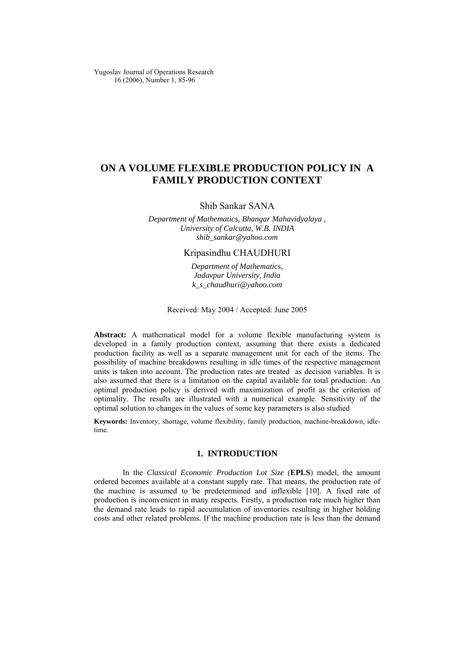Yugoslav Journal of Operations Research 16 (2006), Number 1, 85-96

# **ON A VOLUME FLEXIBLE PRODUCTION POLICY IN A FAMILY PRODUCTION CONTEXT**

### Shib Sankar SANA

*Department of Mathematics, Bhangar Mahavidyalaya , University of Calcutta, W.B. INDIA [shib\\_sankar@yahoo.com](mailto:shib_sankar@yahoo.com)*

## Kripasindhu CHAUDHURI

*Department of Mathematics, Jadavpur University, India [k\\_s\\_chaudhuri@yahoo.com](mailto:k_s_chaudhuri@yahoo.com)*

Received: May 2004 / Accepted: June 2005

**Abstract:** A mathematical model for a volume flexible manufacturing system is developed in a family production context, assuming that there exists a dedicated production facility as well as a separate management unit for each of the items. The possibility of machine breakdowns resulting in idle times of the respective management units is taken into account. The production rates are treated as decision variables. It is also assumed that there is a limitation on the capital available for total production. An optimal production policy is derived with maximization of profit as the criterion of optimality. The results are illustrated with a numerical example. Sensitivity of the optimal solution to changes in the values of some key parameters is also studied

**Keywords:** Inventory, shortage, volume flexibility, family production, machine-breakdown, idletime.

### **1. INTRODUCTION**

In the *Classical Economic Prod*u*ction Lot Size* (**EPLS**) model, the amount ordered becomes available at a constant supply rate. That means, the production rate of the machine is assumed to be predetermined and inflexible [10]. A fixed rate of production is inconvenient in many respects. Firstly, a production rate much higher than the demand rate leads to rapid accumulation of inventories resulting in higher holding costs and other related problems. If the machine production rate is less than the demand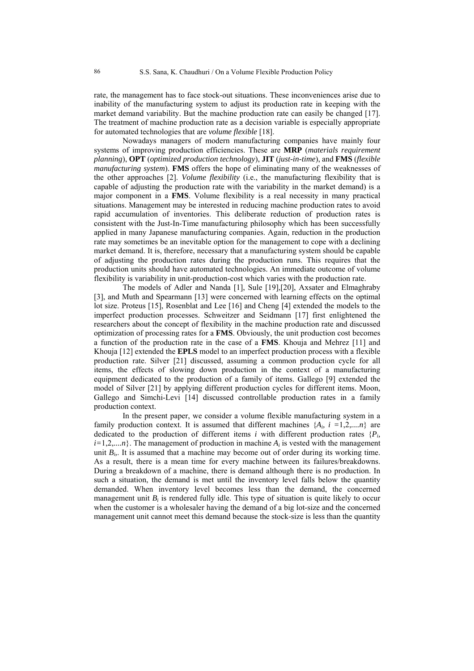rate, the management has to face stock-out situations. These inconveniences arise due to inability of the manufacturing system to adjust its production rate in keeping with the market demand variability. But the machine production rate can easily be changed [17]. The treatment of machine production rate as a decision variable is especially appropriate for automated technologies that are *volume flexible* [18].

Nowadays managers of modern manufacturing companies have mainly four systems of improving production efficiencies. These are **MRP** (*materials requirement planning*), **OPT** (*optimized production technology*), **JIT** (*just-in-time*), and **FMS** (*flexible manufacturing system*). **FMS** offers the hope of eliminating many of the weaknesses of the other approaches [2]. *Volume flexibility* (i.e., the manufacturing flexibility that is capable of adjusting the production rate with the variability in the market demand) is a major component in a **FMS**. Volume flexibility is a real necessity in many practical situations. Management may be interested in reducing machine production rates to avoid rapid accumulation of inventories. This deliberate reduction of production rates is consistent with the Just-In-Time manufacturing philosophy which has been successfully applied in many Japanese manufacturing companies. Again, reduction in the production rate may sometimes be an inevitable option for the management to cope with a declining market demand. It is, therefore, necessary that a manufacturing system should be capable of adjusting the production rates during the production runs. This requires that the production units should have automated technologies. An immediate outcome of volume flexibility is variability in unit-production-cost which varies with the production rate.

The models of Adler and Nanda [1], Sule [19],[20], Axsater and Elmaghraby [3], and Muth and Spearmann [13] were concerned with learning effects on the optimal lot size. Proteus [15], Rosenblat and Lee [16] and Cheng [4] extended the models to the imperfect production processes. Schweitzer and Seidmann [17] first enlightened the researchers about the concept of flexibility in the machine production rate and discussed optimization of processing rates for a **FMS**. Obviously, the unit production cost becomes a function of the production rate in the case of a **FMS**. Khouja and Mehrez [11] and Khouja [12] extended the **EPLS** model to an imperfect production process with a flexible production rate. Silver [21] discussed, assuming a common production cycle for all items, the effects of slowing down production in the context of a manufacturing equipment dedicated to the production of a family of items. Gallego [9] extended the model of Silver [21] by applying different production cycles for different items. Moon, Gallego and Simchi-Levi [14] discussed controllable production rates in a family production context.

In the present paper, we consider a volume flexible manufacturing system in a family production context. It is assumed that different machines  $\{A_i, i = 1, 2, \ldots, n\}$  are dedicated to the production of different items *i* with different production rates  ${P_i}$ ,  $i=1,2,...,n$ . The management of production in machine  $A_i$  is vested with the management unit  $B<sub>i</sub>$ . It is assumed that a machine may become out of order during its working time. As a result, there is a mean time for every machine between its failures/breakdowns. During a breakdown of a machine, there is demand although there is no production. In such a situation, the demand is met until the inventory level falls below the quantity demanded. When inventory level becomes less than the demand, the concerned management unit  $B_i$  is rendered fully idle. This type of situation is quite likely to occur when the customer is a wholesaler having the demand of a big lot-size and the concerned management unit cannot meet this demand because the stock-size is less than the quantity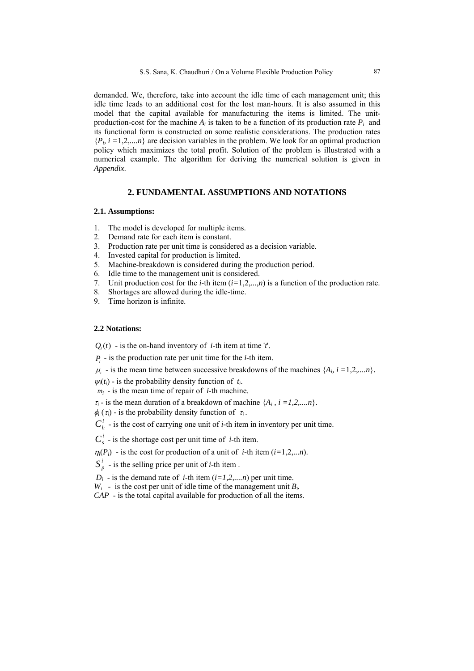demanded. We, therefore, take into account the idle time of each management unit; this idle time leads to an additional cost for the lost man-hours. It is also assumed in this model that the capital available for manufacturing the items is limited. The unitproduction-cost for the machine  $A_i$  is taken to be a function of its production rate  $P_i$  and its functional form is constructed on some realistic considerations. The production rates  ${P_i, i = 1,2,...n}$  are decision variables in the problem. We look for an optimal production policy which maximizes the total profit. Solution of the problem is illustrated with a numerical example. The algorithm for deriving the numerical solution is given in *Appendix*.

### **2. FUNDAMENTAL ASSUMPTIONS AND NOTATIONS**

#### **2.1. Assumptions:**

- 1. The model is developed for multiple items.
- 2. Demand rate for each item is constant.
- 3. Production rate per unit time is considered as a decision variable.
- 4. Invested capital for production is limited.
- 5. Machine-breakdown is considered during the production period.
- 6. Idle time to the management unit is considered.
- 7. Unit production cost for the *i*-th item  $(i=1,2,...,n)$  is a function of the production rate.
- 8. Shortages are allowed during the idle-time.
- 9. Time horizon is infinite.

#### **2.2 Notations:**

 $Q_i(t)$  - is the on-hand inventory of *i*-th item at time '*t*'.

*Pi* - is the production rate per unit time for the *i*-th item.

 $\mu_i$  - is the mean time between successive breakdowns of the machines  $\{A_i, i = 1, 2, \ldots n\}$ .

 $\psi_i(t_i)$  - is the probability density function of  $t_i$ .

 $m_i$  - is the mean time of repair of *i*-th machine.

 $\tau_i$  - is the mean duration of a breakdown of machine  $\{A_i, i = 1, 2, \ldots, n\}$ .

 $\phi_i(\tau_i)$  - is the probability density function of  $\tau_i$ .

 $C_h^i$  - is the cost of carrying one unit of *i*-th item in inventory per unit time.

 $C_s^i$  - is the shortage cost per unit time of *i*-th item.

 $\eta_i(P_i)$  - is the cost for production of a unit of *i*-th item (*i*=1,2,*...n*).

 $S_p^i$  - is the selling price per unit of *i*-th item .

 $D_i$  - is the demand rate of *i*-th item  $(i=1,2,...n)$  per unit time.

 $W_i$  - is the cost per unit of idle time of the management unit  $B_i$ .

*CAP* - is the total capital available for production of all the items.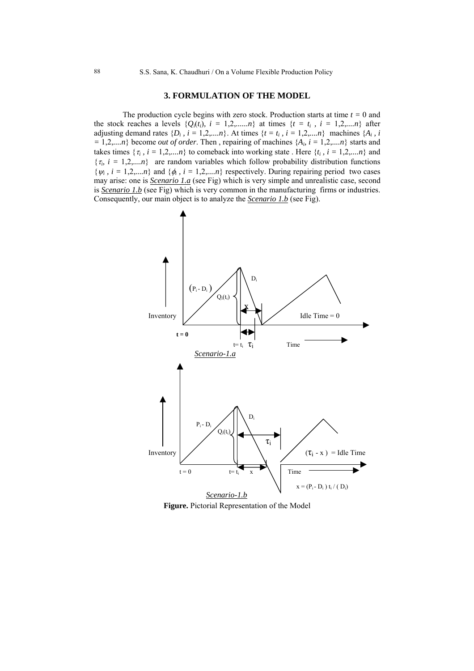## **3. FORMULATION OF THE MODEL**

The production cycle begins with zero stock. Production starts at time  $t = 0$  and the stock reaches a levels  $\{Q_i(t_i), i = 1,2,...,n\}$  at times  $\{t = t_i, i = 1,2,...,n\}$  after adjusting demand rates  $\{D_i, i = 1,2,...n\}$ . At times  $\{t = t_i, i = 1,2,...n\}$  machines  $\{A_i, i\}$  $= 1,2,...n$ } become *out of order*. Then, repairing of machines  $\{A_i, i = 1,2,...n\}$  starts and takes times  $\{\tau_i, i = 1,2,...n\}$  to comeback into working state. Here  $\{t_i, i = 1,2,...n\}$  and  $\{\tau_i, i = 1, 2, \dots, n\}$  are random variables which follow probability distribution functions  $\{\psi_i, i = 1, 2, \dots, n\}$  and  $\{\phi_i, i = 1, 2, \dots, n\}$  respectively. During repairing period two cases may arise: one is *Scenario 1.a* (see Fig) which is very simple and unrealistic case, second is *Scenario 1.b* (see Fig) which is very common in the manufacturing firms or industries. Consequently, our main object is to analyze the *Scenario 1.b* (see Fig).



**Figure.** Pictorial Representation of the Model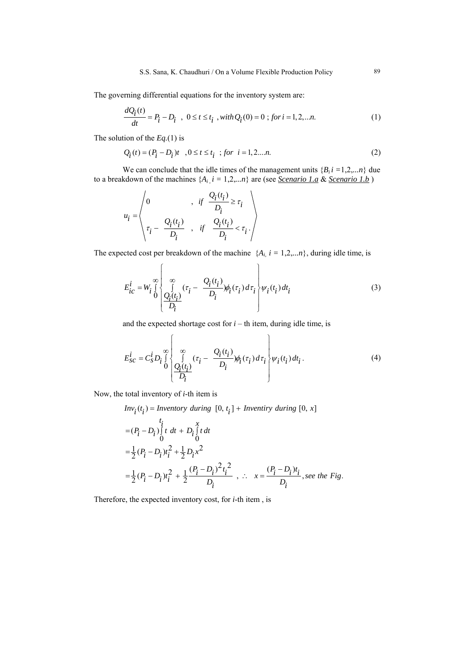The governing differential equations for the inventory system are:

$$
\frac{dQ_i(t)}{dt} = P_i - D_i \quad , \ 0 \le t \le t_i \quad , with \ Q_i(0) = 0 \; ; \; for \; i = 1, 2, \dots n. \tag{1}
$$

The solution of the *Eq.*(1) is

$$
Q_i(t) = (P_i - D_i)t, \quad 0 \le t \le t_i \quad ; \text{ for } i = 1, 2, \dots n. \tag{2}
$$

We can conclude that the idle times of the management units  ${B_i} i = 1,2,...n$  due to a breakdown of the machines  $\{A_i, i = 1, 2, \ldots n\}$  are (see *Scenario 1.a* & *Scenario 1.b*)

$$
u_i = \begin{pmatrix} 0 & , & if \frac{Q_i(t_i)}{D_i} \ge \tau_i \\ \tau_i - \frac{Q_i(t_i)}{D_i} & , & if \frac{Q_i(t_i)}{D_i} < \tau_i \end{pmatrix}
$$

The expected cost per breakdown of the machine  $\{A_i, i = 1, 2, \ldots n\}$ , during idle time, is

$$
E_{ic}^{i} = W_{i} \bigotimes_{i=1}^{\infty} \left\{ \begin{array}{c} \infty \\ \text{if } \left( \tau_{i} - \frac{Q_{i}(t_{i})}{D_{i}} \right) \phi_{i}(\tau_{i}) d\tau_{i} \\ \frac{Q_{i}(t_{i})}{D_{i}} \end{array} \right\} \psi_{i}(t_{i}) dt_{i}
$$
(3)

and the expected shortage cost for  $i -$  th item, during idle time, is

$$
E_{SC}^{i} = C_{S}^{i} D_{i} \bigotimes_{i=0}^{\infty} \left\{ \sum_{\substack{\ell_{i}(t_{i}) \\ D_{i}}}^{\infty} (\tau_{i} - \frac{Q_{i}(t_{i})}{D_{i}}) \phi_{i}(\tau_{i}) d\tau_{i} \right\} \psi_{i}(t_{i}) dt_{i}.
$$
\n
$$
(4)
$$

Now, the total inventory of *i*-th item is

$$
Inv_i(t_i) = \text{Inventory during } [0, t_i] + \text{Inventiry during } [0, x]
$$
\n
$$
= (P_i - D_i) \int_t^t t \, dt + D_i \int_0^x t \, dt
$$
\n
$$
= \frac{1}{2} (P_i - D_i) t_i^2 + \frac{1}{2} D_i x^2
$$
\n
$$
= \frac{1}{2} (P_i - D_i) t_i^2 + \frac{1}{2} \frac{(P_i - D_i)^2 t_i^2}{D_i}, \therefore x = \frac{(P_i - D_i) t_i}{D_i}, \text{see the Fig.}
$$

Therefore, the expected inventory cost, for *i*-th item , is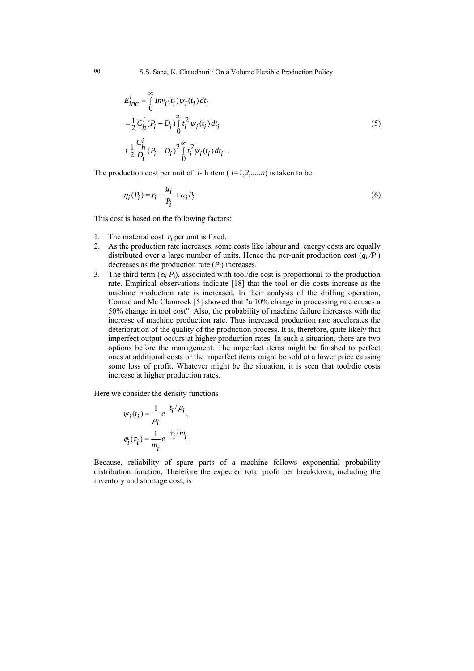$$
E_{inc}^{i} = \int_{0}^{\infty} Inv_i(t_i) \psi_i(t_i) dt_i
$$
  
=  $\frac{1}{2} C_h^i (P_i - D_i) \int_{0}^{\infty} t_i^2 \psi_i(t_i) dt_i$   
+  $\frac{1}{2} \frac{C_h^i}{D_i} (P_i - D_i)^2 \int_{0}^{\infty} t_i^2 \psi_i(t_i) dt_i$  (5)

The production cost per unit of *i*-th item ( $i=1,2,...,n$ ) is taken to be

$$
\eta_i(P_i) = r_i + \frac{g_i}{P_i} + \alpha_i P_i \tag{6}
$$

This cost is based on the following factors:

- 1. The material cost  $r_i$  per unit is fixed.
- 2. As the production rate increases, some costs like labour and energy costs are equally distributed over a large number of units. Hence the per-unit production cost  $(g_i/P_i)$ decreases as the production rate  $(P_i)$  increases.
- 3. The third term  $(\alpha_i P_i)$ , associated with tool/die cost is proportional to the production rate. Empirical observations indicate [18] that the tool or die costs increase as the machine production rate is increased. In their analysis of the drilling operation, Conrad and Mc Clamrock [5] showed that "a 10% change in processing rate causes a 50% change in tool cost". Also, the probability of machine failure increases with the increase of machine production rate. Thus increased production rate accelerates the deterioration of the quality of the production process. It is, therefore, quite likely that imperfect output occurs at higher production rates. In such a situation, there are two options before the management. The imperfect items might be finished to perfect ones at additional costs or the imperfect items might be sold at a lower price causing some loss of profit. Whatever might be the situation, it is seen that tool/die costs increase at higher production rates.

Here we consider the density functions

$$
\psi_i(t_i) = \frac{1}{\mu_i} e^{-t_i/\mu_i},
$$
  

$$
\phi_i(\tau_i) = \frac{1}{m_i} e^{-\tau_i/m_i}.
$$

Because, reliability of spare parts of a machine follows exponential probability distribution function. Therefore the expected total profit per breakdown, including the inventory and shortage cost, is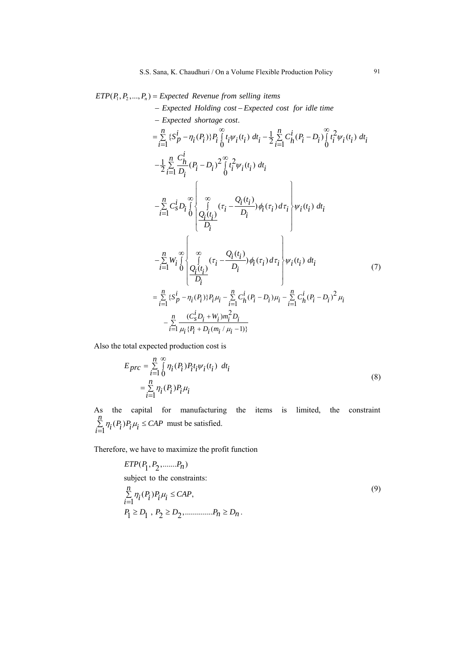## $ETP(P_1, P_2, \ldots, P_n) = Expected Revenue from selling items$

*Expected Holding cost Expected cost for idle time* − −

- Expected shortage cost.  
\n
$$
= \sum_{i=1}^{n} \{S_p^i - \eta_i(P_i)\} P_i \int_0^{\infty} t_i \psi_i(t_i) dt_i - \frac{1}{2} \sum_{i=1}^{n} C_h^i(P_i - D_i) \int_0^{\infty} t_i^2 \psi_i(t_i) dt_i
$$
\n
$$
- \frac{1}{2} \sum_{i=1}^{n} \frac{C_h^i}{D_i} (P_i - D_i)^2 \int_0^{\infty} t_i^2 \psi_i(t_i) dt_i
$$
\n
$$
- \sum_{i=1}^{n} C_s^i D_i \int_0^{\infty} \int_0^{\infty} (\tau_i - \frac{Q_i(t_i)}{D_i}) \phi_i(\tau_i) d\tau_i \psi_i(t_i) dt_i
$$
\n
$$
- \sum_{i=1}^{n} W_i \int_0^{\infty} \int_0^{\infty} (r_i - \frac{Q_i(t_i)}{D_i}) \phi_i(\tau_i) d\tau_i \psi_i(t_i) dt_i
$$
\n
$$
- \sum_{i=1}^{n} W_i \int_0^{\infty} \int_0^{\infty} (r_i - \frac{Q_i(t_i)}{D_i}) \phi_i(\tau_i) d\tau_i \psi_i(t_i) dt_i
$$
\n
$$
= \sum_{i=1}^{n} \{S_p^i - \eta_i(P_i)\} P_i \mu_i - \sum_{i=1}^{n} C_h^i (P_i - D_i) \mu_i - \sum_{i=1}^{n} C_h^i (P_i - D_i)^2 \mu_i
$$
\n
$$
- \sum_{i=1}^{n} \frac{(C_s^i D_i + W_i) m_i^2 D_i}{\mu_i (P_i + D_i(m_i / \mu_i - 1))}
$$

Also the total expected production cost is

$$
E_{prc} = \sum_{i=1}^{n} \int_{0}^{\infty} \eta_i(P_i) P_i t_i \psi_i(t_i) dt_i
$$
  
= 
$$
\sum_{i=1}^{n} \eta_i(P_i) P_i \mu_i
$$
 (8)

As the capital for manufacturing the items is limited, the constraint  $(P_i)P_i\mu_i \leq CAP$  must be satisfied.  $\sum_{i=1}^{n} \eta_i(P_i) P_i \mu_i \leq CAP$ 

Therefore, we have to maximize the profit function

$$
ETP(P_1, P_2, \dots, P_n)
$$
  
subject to the constraints:  

$$
\sum_{i=1}^{n} \eta_i(P_i) P_i \mu_i \leq CAP,
$$
  

$$
P_1 \geq D_1, P_2 \geq D_2, \dots, P_n \geq D_n.
$$
 (9)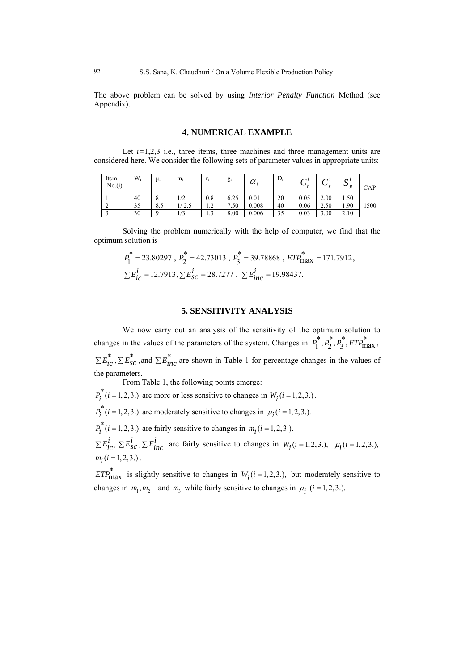The above problem can be solved by using *Interior Penalty Function* Method (see Appendix).

#### **4. NUMERICAL EXAMPLE**

Let  $i=1,2,3$  i.e., three items, three machines and three management units are considered here. We consider the following sets of parameter values in appropriate units:

| Item<br>No.(i) | $W_i$ | μi  | $m_i$ | r,                         | $g_i$    | $\alpha_{\cdot}$ | $D_i$ | $\sim$<br>$\mathbf{v}_h$ | $\sim$ l<br>ັ | $\Omega$<br>ມ | CAP  |
|----------------|-------|-----|-------|----------------------------|----------|------------------|-------|--------------------------|---------------|---------------|------|
|                | 40    |     | 1/2   | $_{0.8}$                   | 6.25     | 0.01             | 20    | 0.05                     | 2.00          | 1.50          |      |
| ◠<br>∸         | 35    | 8.5 | 2.5   | $\sim$<br>$\overline{1}$ . | .50<br>– | 0.008            | 40    | 0.06                     | 2.50          | 1.90          | 1500 |
|                | 30    |     | 1/3   | $\sim$<br>1.J              | 8.00     | 0.006            | 35    | 0.03                     | 3.00          | 2.10          |      |

Solving the problem numerically with the help of computer, we find that the optimum solution is

$$
P_1^* = 23.80297 , P_2^* = 42.73013 , P_3^* = 39.78868 , ETP_{\text{max}}^* = 171.7912 ,
$$
  
\n
$$
\Sigma E_{ic}^i = 12.7913, \Sigma E_{sc}^i = 28.7277 , \Sigma E_{inc}^i = 19.98437.
$$

#### **5. SENSITIVITY ANALYSIS**

We now carry out an analysis of the sensitivity of the optimum solution to changes in the values of the parameters of the system. Changes in  $P_1^*, P_2^*, P_3^*, ETP_{\text{max}}^*$ ,  $\sum E_{ic}^{*}$ ,  $\sum E_{SC}^{*}$ , and  $\sum E_{inc}^{*}$  are shown in Table 1 for percentage changes in the values of the parameters.

From Table 1, the following points emerge:

 $P_i^*(i = 1, 2, 3.)$  are more or less sensitive to changes in  $W_i(i = 1, 2, 3.)$ .

 $P_i^*(i = 1, 2, 3.)$  are moderately sensitive to changes in  $\mu_i(i = 1, 2, 3.)$ .

 $p_i^*(i = 1, 2, 3.)$  are fairly sensitive to changes in  $m_i(i = 1, 2, 3.)$ .

 $\sum E_{ic}^{i}$ ,  $\sum E_{sc}^{i}$ ,  $\sum E_{inc}^{i}$  are fairly sensitive to changes in  $W_{i}(i=1,2,3)$ ,  $\mu_{i}(i=1,2,3)$ ,  $m_i$  (*i* = 1, 2, 3.).

changes in  $m_1, m_2$  and  $m_3$  while fairly sensitive to changes in  $\mu_i$  (*i* = 1, 2, 3.). *ETP*<sup>\*</sup><sub>max</sub> is slightly sensitive to changes in  $W_i(i = 1, 2, 3)$ , but moderately sensitive to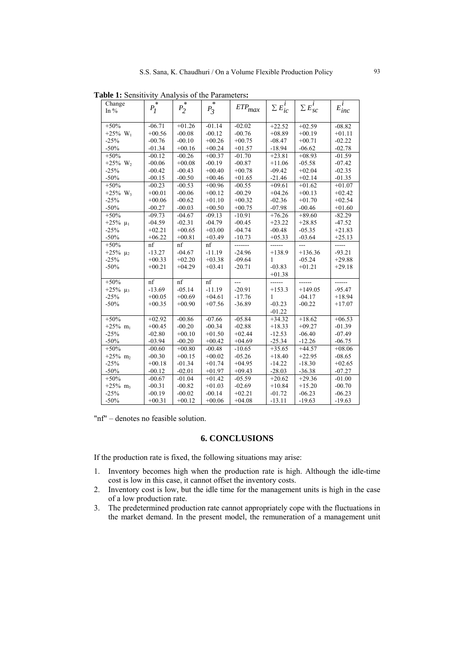|  |  | Table 1: Sensitivity Analysis of the Parameters: |  |
|--|--|--------------------------------------------------|--|
|--|--|--------------------------------------------------|--|

| Change                 | $P_I^*$  | $P_2^*$  |           |             |                   |                   |             |
|------------------------|----------|----------|-----------|-------------|-------------------|-------------------|-------------|
| In $%$                 |          |          | $P_{3}^*$ | $ETP_{max}$ | $\sum E_{ic}^{l}$ | $\sum E_{sc}^{i}$ | $E_{inc}^i$ |
|                        |          |          |           |             |                   |                   |             |
| $+50%$                 | $-06.71$ | $+01.26$ | $-01.14$  | $-02.02$    | $+22.52$          | $+02.59$          | $-08.82$    |
| $+25\%$ W <sub>1</sub> | $+00.56$ | $-00.08$ | $-00.12$  | $-00.76$    | $+08.89$          | $+00.19$          | $+01.11$    |
| $-25%$                 | $-00.76$ | $-00.10$ | $+00.26$  | $+00.75$    | $-08.47$          | $+00.71$          | $-02.22$    |
| $-50%$                 | $-01.34$ | $+00.16$ | $+00.24$  | $+01.57$    | $-18.94$          | $-06.62$          | $-02.78$    |
| $+50%$                 | $-00.12$ | $-00.26$ | $+00.37$  | $-01.70$    | $+23.81$          | $+08.93$          | $-01.59$    |
| +25% $W_2$             | $-00.06$ | $+00.08$ | $-00.19$  | $-00.87$    | $+11.06$          | $-05.58$          | $-07.42$    |
| $-25%$                 | $-00.42$ | $-00.43$ | $+00.40$  | $+00.78$    | $-09.42$          | $+02.04$          | $-02.35$    |
| $-50%$                 | $-00.15$ | $-00.50$ | $+00.46$  | $+01.65$    | $-21.46$          | $+02.14$          | $-01.35$    |
| $+50%$                 | $-00.23$ | $-00.53$ | $+00.96$  | $-00.55$    | $+09.61$          | $+01.62$          | $+01.07$    |
| $+25\%$ W <sub>3</sub> | $+00.01$ | $-00.06$ | $+00.12$  | $-00.29$    | $+04.26$          | $+00.13$          | $+02.42$    |
| $-25%$                 | $+00.06$ | $-00.62$ | $+01.10$  | $+00.32$    | $-02.36$          | $+01.70$          | $+02.54$    |
| $-50%$                 | $-00.27$ | $-00.03$ | $+00.50$  | $+00.75$    | $-07.98$          | $-00.46$          | $+01.60$    |
| $+50%$                 | $-09.73$ | $-04.67$ | $-09.13$  | $-10.91$    | $+76.26$          | $+89.60$          | $-82.29$    |
| $+25\%$ $\mu_1$        | $-04.59$ | $-02.31$ | $-04.79$  | $-00.45$    | $+23.22$          | $+28.85$          | $-47.52$    |
| $-25%$                 | $+02.21$ | $+00.65$ | $+03.00$  | $-04.74$    | $-00.48$          | $-05.35$          | $+21.83$    |
| $-50%$                 | $+06.22$ | $+00.81$ | $+03.49$  | $-10.73$    | $+05.33$          | $-03.64$          | $+25.13$    |
| $+50%$                 | nf       | nf       | nf        |             |                   | $\overline{a}$    | -----       |
| +25% $\mu_2$           | $-13.27$ | $-04.67$ | $-11.19$  | $-24.96$    | $+138.9$          | $+136.36$         | $-93.21$    |
| $-25%$                 | $+00.33$ | $+02.20$ | $+03.38$  | $-09.64$    | 1                 | $-05.24$          | $+29.88$    |
| $-50%$                 | $+00.21$ | $+04.29$ | $+03.41$  | $-20.71$    | $-03.83$          | $+01.21$          | $+29.18$    |
|                        |          |          |           |             | $+01.38$          |                   |             |
| $+50%$                 | nf       | nf       | nf        | ---         |                   | ------            | ------      |
| $+25\%$ $\mu_3$        | $-13.69$ | $-05.14$ | $-11.19$  | $-20.91$    | $+153.3$          | $+149.05$         | $-95.47$    |
| $-25%$                 | $+00.05$ | $+00.69$ | $+04.61$  | $-17.76$    | 1                 | $-04.17$          | $+18.94$    |
| $-50%$                 | $+00.35$ | $+00.90$ | $+07.56$  | $-36.89$    | $-03.23$          | $-00.22$          | $+17.07$    |
|                        |          |          |           |             | $-01.22$          |                   |             |
| $+50%$                 | $+02.92$ | $-00.86$ | $-07.66$  | $-05.84$    | $+34.32$          | $+18.62$          | $+06.53$    |
| $+25%$ m <sub>1</sub>  | $+00.45$ | $-00.20$ | $-00.34$  | $-02.88$    | $+18.33$          | $+09.27$          | $-01.39$    |
| $-25%$                 | $-02.80$ | $+00.10$ | $+01.50$  | $+02.44$    | $-12.53$          | $-06.40$          | $-07.49$    |
| $-50%$                 | $-03.94$ | $-00.20$ | $+00.42$  | $+04.69$    | $-25.34$          | $-12.26$          | $-06.75$    |
| $+50%$                 | $-00.60$ | $+00.80$ | $-00.48$  | $-10.65$    | $+35.65$          | $+44.57$          | $+08.06$    |
| $+25%$ m <sub>2</sub>  | $-00.30$ | $+00.15$ | $+00.02$  | $-05.26$    | $+18.40$          | $+22.95$          | $-08.65$    |
| $-25%$                 | $+00.18$ | $-01.34$ | $+01.74$  | $+04.95$    | $-14.22$          | $-18.30$          | $+02.65$    |
| $-50%$                 | $-00.12$ | $-02.01$ | $+01.97$  | $+09.43$    | $-28.03$          | $-36.38$          | $-07.27$    |
| $+50%$                 | $-00.67$ | $-01.04$ | $+01.42$  | $-05.59$    | $+20.62$          | $+29.36$          | $-01.00$    |
| $+25\%$ m <sub>3</sub> | $-00.31$ | $-00.82$ | $+01.03$  | $-02.69$    | $+10.84$          | $+15.20$          | $-00.70$    |
| $-25%$                 | $-00.19$ | $-00.02$ | $-00.14$  | $+02.21$    | $-01.72$          | $-06.23$          | $-06.23$    |
| $-50%$                 | $+00.31$ | $+00.12$ | $+00.06$  | $+04.08$    | $-13.11$          | $-19.63$          | $-19.63$    |

"nf" – denotes no feasible solution.

### **6. CONCLUSIONS**

If the production rate is fixed, the following situations may arise:

- 1. Inventory becomes high when the production rate is high. Although the idle-time cost is low in this case, it cannot offset the inventory costs.
- 2. Inventory cost is low, but the idle time for the management units is high in the case of a low production rate.
- 3. The predetermined production rate cannot appropriately cope with the fluctuations in the market demand. In the present model, the remuneration of a management unit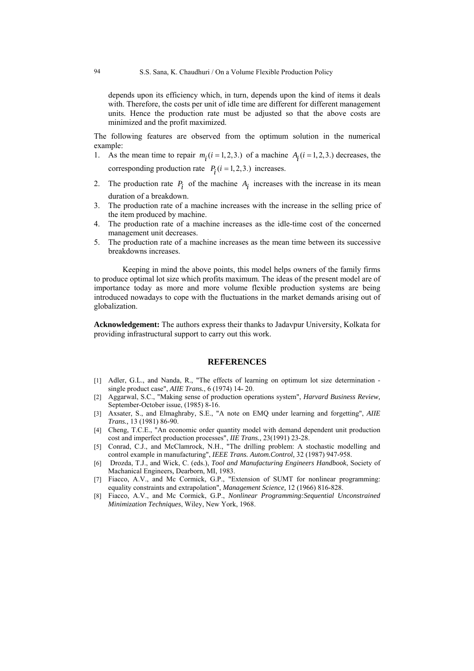depends upon its efficiency which, in turn, depends upon the kind of items it deals with. Therefore, the costs per unit of idle time are different for different management units. Hence the production rate must be adjusted so that the above costs are minimized and the profit maximized.

The following features are observed from the optimum solution in the numerical example:

- 1. As the mean time to repair  $m_i$  ( $i = 1, 2, 3$ .) of a machine  $A_i$  ( $i = 1, 2, 3$ .) decreases, the corresponding production rate  $P_i$  ( $i = 1, 2, 3$ .) increases.
- 2. The production rate  $P_i$  of the machine  $A_i$  increases with the increase in its mean duration of a breakdown.
- 3. The production rate of a machine increases with the increase in the selling price of the item produced by machine.
- 4. The production rate of a machine increases as the idle-time cost of the concerned management unit decreases.
- 5. The production rate of a machine increases as the mean time between its successive breakdowns increases.

Keeping in mind the above points, this model helps owners of the family firms to produce optimal lot size which profits maximum. The ideas of the present model are of importance today as more and more volume flexible production systems are being introduced nowadays to cope with the fluctuations in the market demands arising out of globalization.

**Acknowledgement:** The authors express their thanks to Jadavpur University, Kolkata for providing infrastructural support to carry out this work.

#### **REFERENCES**

- [1] Adler, G.L., and Nanda, R., "The effects of learning on optimum lot size determination single product case", *AIIE Trans.*, 6 (1974) 14- 20.
- [2] Aggarwal, S.C., "Making sense of production operations system", *Harvard Business Review,* September-October issue, (1985) 8-16.
- [3] Axsater, S., and Elmaghraby, S.E., "A note on EMQ under learning and forgetting", *AIIE Trans.,* 13 (1981) 86-90.
- [4] Cheng, T.C.E., "An economic order quantity model with demand dependent unit production cost and imperfect production processes", *IIE Trans.,* 23(1991) 23-28.
- [5] Conrad, C.J., and McClamrock, N.H., "The drilling problem: A stochastic modelling and control example in manufacturing", *IEEE Trans. Autom.Control,* 32 (1987) 947-958.
- [6] Drozda, T.J., and Wick, C. (eds.), *Tool and Manufacturing Engineers Handbook*, Society of Machanical Engineers*,* Dearborn, MI, 1983.
- [7] Fiacco, A.V., and Mc Cormick, G.P., "Extension of SUMT for nonlinear programming: equality constraints and extrapolation", *Management Science,* 12 (1966) 816-828.
- [8] Fiacco, A.V., and Mc Cormick, G.P., *Nonlinear Programming:Sequential Unconstrained Minimization Techniques*, Wiley, New York, 1968.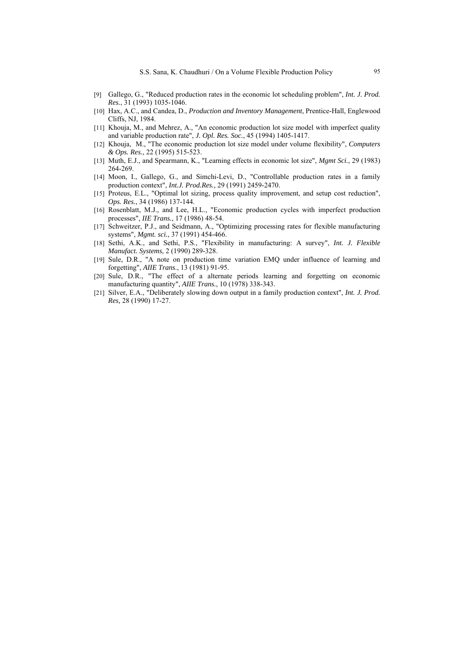- [9] Gallego, G., "Reduced production rates in the economic lot scheduling problem", *Int. J. Prod. Res.*, 31 (1993) 1035-1046.
- [10] Hax, A.C., and Candea, D., *Production and Inventory Management*, Prentice-Hall, Englewood Cliffs, NJ, 1984.
- [11] Khouja, M., and Mehrez, A., "An economic production lot size model with imperfect quality and variable production rate", *J. Opl. Res. Soc.*, 45 (1994) 1405-1417.
- [12] Khouja, M., "The economic production lot size model under volume flexibility", *Computers & Ops. Res.*, 22 (1995) 515-523.
- [13] Muth, E.J., and Spearmann, K., "Learning effects in economic lot size", *Mgmt Sci.*, 29 (1983) 264-269.
- [14] Moon, I., Gallego, G., and Simchi-Levi, D., "Controllable production rates in a family production context", *Int.J. Prod.Res.,* 29 (1991) 2459-2470.
- [15] Proteus, E.L., "Optimal lot sizing, process quality improvement, and setup cost reduction", *Ops. Res.*, 34 (1986) 137-144.
- [16] Rosenblatt, M.J., and Lee, H.L., "Economic production cycles with imperfect production processes", *IIE Trans.*, 17 (1986) 48-54.
- [17] Schweitzer, P.J., and Seidmann, A., "Optimizing processing rates for flexible manufacturing systems", *Mgmt. sci.*, 37 (1991) 454-466.
- [18] Sethi, A.K., and Sethi, P.S., "Flexibility in manufacturing: A survey", *Int. J. Flexible Manufact. Systems*, 2 (1990) 289-328.
- [19] Sule, D.R., "A note on production time variation EMQ under influence of learning and forgetting", *AIIE Trans*., 13 (1981) 91-95.
- [20] Sule, D.R., "The effect of a alternate periods learning and forgetting on economic manufacturing quantity", *AIIE Trans.*, 10 (1978) 338-343.
- [21] Silver, E.A., "Deliberately slowing down output in a family production context", *Int. J. Prod. Res,* 28 (1990) 17-27.